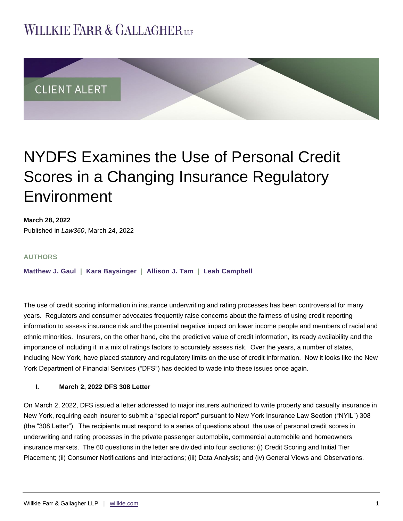## **WILLKIE FARR & GALLAGHERUP**



# NYDFS Examines the Use of Personal Credit Scores in a Changing Insurance Regulatory Environment

**March 28, 2022** Published in *Law360*, March 24, 2022

#### **AUTHORS**

**[Matthew J. Gaul](https://www.willkie.com/professionals/g/gaul-matthew) | Kara [Baysinger](https://www.willkie.com/professionals/b/baysinger-kara) | [Allison](https://www.willkie.com/professionals/t/tam-allison-j) J. Tam | [Leah Campbell](https://www.willkie.com/professionals/c/campbell-leah)**

The use of credit scoring information in insurance underwriting and rating processes has been controversial for many years. Regulators and consumer advocates frequently raise concerns about the fairness of using credit reporting information to assess insurance risk and the potential negative impact on lower income people and members of racial and ethnic minorities. Insurers, on the other hand, cite the predictive value of credit information, its ready availability and the importance of including it in a mix of ratings factors to accurately assess risk. Over the years, a number of states, including New York, have placed statutory and regulatory limits on the use of credit information. Now it looks like the New York Department of Financial Services ("DFS") has decided to wade into these issues once again.

#### **I. March 2, 2022 DFS 308 Letter**

On March 2, 2022, DFS issued a letter addressed to major insurers authorized to write property and casualty insurance in New York, requiring each insurer to submit a "special report" pursuant to New York Insurance Law Section ("NYIL") 308 (the "308 Letter"). The recipients must respond to a series of questions about the use of personal credit scores in underwriting and rating processes in the private passenger automobile, commercial automobile and homeowners insurance markets. The 60 questions in the letter are divided into four sections: (i) Credit Scoring and Initial Tier Placement; (ii) Consumer Notifications and Interactions; (iii) Data Analysis; and (iv) General Views and Observations.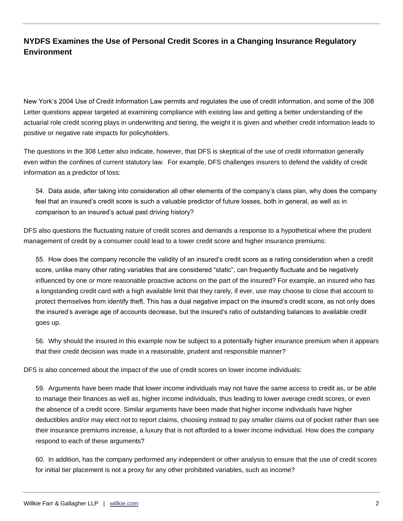New York's 2004 Use of Credit Information Law permits and regulates the use of credit information, and some of the 308 Letter questions appear targeted at examining compliance with existing law and getting a better understanding of the actuarial role credit scoring plays in underwriting and tiering, the weight it is given and whether credit information leads to positive or negative rate impacts for policyholders.

The questions in the 308 Letter also indicate, however, that DFS is skeptical of the use of credit information generally even within the confines of current statutory law. For example, DFS challenges insurers to defend the validity of credit information as a predictor of loss:

54. Data aside, after taking into consideration all other elements of the company's class plan, why does the company feel that an insured's credit score is such a valuable predictor of future losses, both in general, as well as in comparison to an insured's actual past driving history?

DFS also questions the fluctuating nature of credit scores and demands a response to a hypothetical where the prudent management of credit by a consumer could lead to a lower credit score and higher insurance premiums:

55. How does the company reconcile the validity of an insured's credit score as a rating consideration when a credit score, unlike many other rating variables that are considered "static", can frequently fluctuate and be negatively influenced by one or more reasonable proactive actions on the part of the insured? For example, an insured who has a longstanding credit card with a high available limit that they rarely, if ever, use may choose to close that account to protect themselves from identify theft. This has a dual negative impact on the insured's credit score, as not only does the insured's average age of accounts decrease, but the insured's ratio of outstanding balances to available credit goes up.

56. Why should the insured in this example now be subject to a potentially higher insurance premium when it appears that their credit decision was made in a reasonable, prudent and responsible manner?

DFS is also concerned about the impact of the use of credit scores on lower income individuals:

59. Arguments have been made that lower income individuals may not have the same access to credit as, or be able to manage their finances as well as, higher income individuals, thus leading to lower average credit scores, or even the absence of a credit score. Similar arguments have been made that higher income individuals have higher deductibles and/or may elect not to report claims, choosing instead to pay smaller claims out of pocket rather than see their insurance premiums increase, a luxury that is not afforded to a lower income individual. How does the company respond to each of these arguments?

60. In addition, has the company performed any independent or other analysis to ensure that the use of credit scores for initial tier placement is not a proxy for any other prohibited variables, such as income?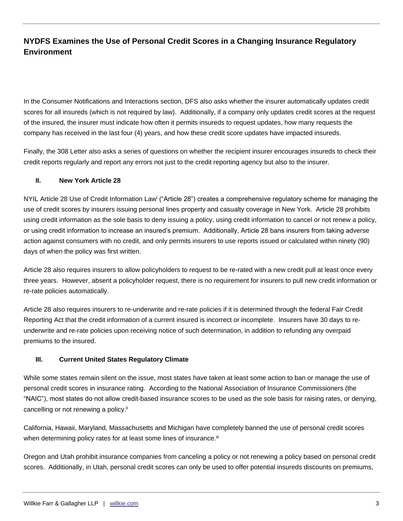In the Consumer Notifications and Interactions section, DFS also asks whether the insurer automatically updates credit scores for all insureds (which is not required by law). Additionally, if a company only updates credit scores at the request of the insured, the insurer must indicate how often it permits insureds to request updates, how many requests the company has received in the last four (4) years, and how these credit score updates have impacted insureds.

Finally, the 308 Letter also asks a series of questions on whether the recipient insurer encourages insureds to check their credit reports regularly and report any errors not just to the credit reporting agency but also to the insurer.

#### **II. New York Article 28**

NYIL Article 28 Use of Credit Information Law<sup>i</sup> ("Article 28") creates a comprehensive regulatory scheme for managing the use of credit scores by insurers issuing personal lines property and casualty coverage in New York. Article 28 prohibits using credit information as the sole basis to deny issuing a policy, using credit information to cancel or not renew a policy, or using credit information to increase an insured's premium. Additionally, Article 28 bans insurers from taking adverse action against consumers with no credit, and only permits insurers to use reports issued or calculated within ninety (90) days of when the policy was first written.

Article 28 also requires insurers to allow policyholders to request to be re-rated with a new credit pull at least once every three years. However, absent a policyholder request, there is no requirement for insurers to pull new credit information or re-rate policies automatically.

Article 28 also requires insurers to re-underwrite and re-rate policies if it is determined through the federal Fair Credit Reporting Act that the credit information of a current insured is incorrect or incomplete. Insurers have 30 days to reunderwrite and re-rate policies upon receiving notice of such determination, in addition to refunding any overpaid premiums to the insured.

#### **III. Current United States Regulatory Climate**

While some states remain silent on the issue, most states have taken at least some action to ban or manage the use of personal credit scores in insurance rating. According to the National Association of Insurance Commissioners (the "NAIC"), most states do not allow credit-based insurance scores to be used as the sole basis for raising rates, or denying, cancelling or not renewing a policy.<sup>ii</sup>

California, Hawaii, Maryland, Massachusetts and Michigan have completely banned the use of personal credit scores when determining policy rates for at least some lines of insurance.<sup>iii</sup>

Oregon and Utah prohibit insurance companies from canceling a policy or not renewing a policy based on personal credit scores. Additionally, in Utah, personal credit scores can only be used to offer potential insureds discounts on premiums,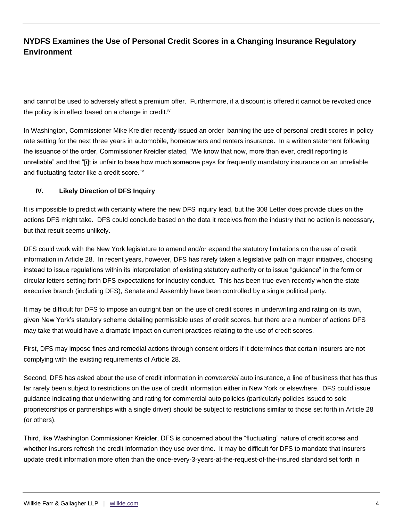and cannot be used to adversely affect a premium offer. Furthermore, if a discount is offered it cannot be revoked once the policy is in effect based on a change in credit.<sup>iv</sup>

In Washington, Commissioner Mike Kreidler recently issued an order banning the use of personal credit scores in policy rate setting for the next three years in automobile, homeowners and renters insurance. In a written statement following the issuance of the order, Commissioner Kreidler stated, "We know that now, more than ever, credit reporting is unreliable" and that "[i]t is unfair to base how much someone pays for frequently mandatory insurance on an unreliable and fluctuating factor like a credit score."<sup>v</sup>

#### **IV. Likely Direction of DFS Inquiry**

It is impossible to predict with certainty where the new DFS inquiry lead, but the 308 Letter does provide clues on the actions DFS might take. DFS could conclude based on the data it receives from the industry that no action is necessary, but that result seems unlikely.

DFS could work with the New York legislature to amend and/or expand the statutory limitations on the use of credit information in Article 28. In recent years, however, DFS has rarely taken a legislative path on major initiatives, choosing instead to issue regulations within its interpretation of existing statutory authority or to issue "guidance" in the form or circular letters setting forth DFS expectations for industry conduct. This has been true even recently when the state executive branch (including DFS), Senate and Assembly have been controlled by a single political party.

It may be difficult for DFS to impose an outright ban on the use of credit scores in underwriting and rating on its own, given New York's statutory scheme detailing permissible uses of credit scores, but there are a number of actions DFS may take that would have a dramatic impact on current practices relating to the use of credit scores.

First, DFS may impose fines and remedial actions through consent orders if it determines that certain insurers are not complying with the existing requirements of Article 28.

Second, DFS has asked about the use of credit information in *commercial* auto insurance, a line of business that has thus far rarely been subject to restrictions on the use of credit information either in New York or elsewhere. DFS could issue guidance indicating that underwriting and rating for commercial auto policies (particularly policies issued to sole proprietorships or partnerships with a single driver) should be subject to restrictions similar to those set forth in Article 28 (or others).

Third, like Washington Commissioner Kreidler, DFS is concerned about the "fluctuating" nature of credit scores and whether insurers refresh the credit information they use over time. It may be difficult for DFS to mandate that insurers update credit information more often than the once-every-3-years-at-the-request-of-the-insured standard set forth in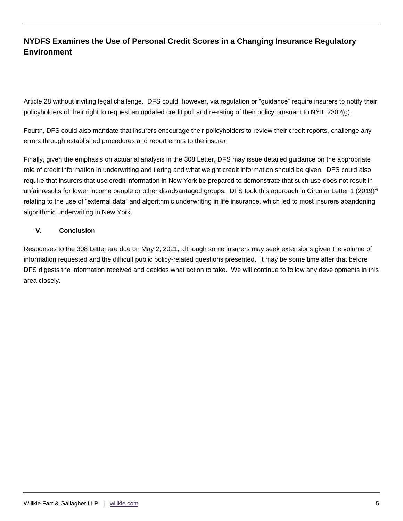Article 28 without inviting legal challenge. DFS could, however, via regulation or "guidance" require insurers to notify their policyholders of their right to request an updated credit pull and re-rating of their policy pursuant to NYIL 2302(g).

Fourth, DFS could also mandate that insurers encourage their policyholders to review their credit reports, challenge any errors through established procedures and report errors to the insurer.

Finally, given the emphasis on actuarial analysis in the 308 Letter, DFS may issue detailed guidance on the appropriate role of credit information in underwriting and tiering and what weight credit information should be given. DFS could also require that insurers that use credit information in New York be prepared to demonstrate that such use does not result in unfair results for lower income people or other disadvantaged groups. DFS took this approach in Circular Letter 1 (2019)<sup>vi</sup> relating to the use of "external data" and algorithmic underwriting in life insurance, which led to most insurers abandoning algorithmic underwriting in New York.

#### **V. Conclusion**

Responses to the 308 Letter are due on May 2, 2021, although some insurers may seek extensions given the volume of information requested and the difficult public policy-related questions presented. It may be some time after that before DFS digests the information received and decides what action to take. We will continue to follow any developments in this area closely.